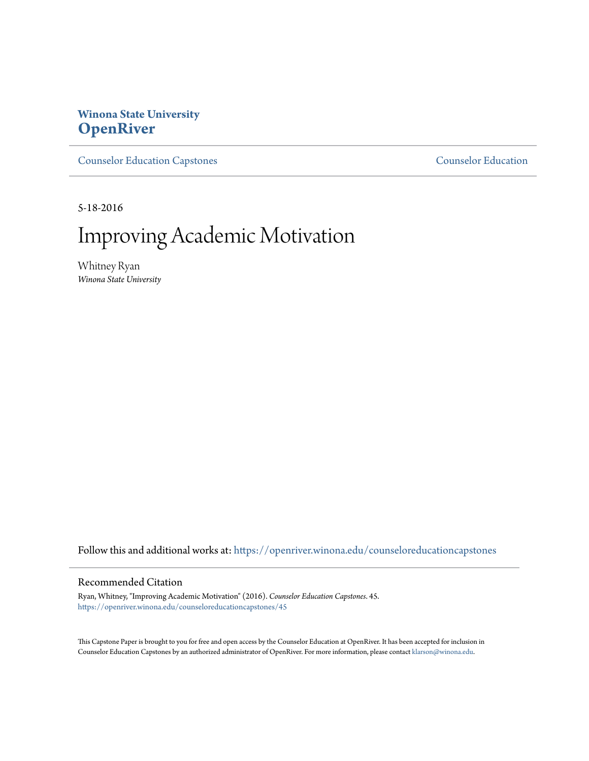# **Winona State University [OpenRiver](https://openriver.winona.edu?utm_source=openriver.winona.edu%2Fcounseloreducationcapstones%2F45&utm_medium=PDF&utm_campaign=PDFCoverPages)**

[Counselor Education Capstones](https://openriver.winona.edu/counseloreducationcapstones?utm_source=openriver.winona.edu%2Fcounseloreducationcapstones%2F45&utm_medium=PDF&utm_campaign=PDFCoverPages) [Counselor Education](https://openriver.winona.edu/counseloreducation?utm_source=openriver.winona.edu%2Fcounseloreducationcapstones%2F45&utm_medium=PDF&utm_campaign=PDFCoverPages)

5-18-2016

# Improving Academic Motivation

Whitney Ryan *Winona State University*

Follow this and additional works at: [https://openriver.winona.edu/counseloreducationcapstones](https://openriver.winona.edu/counseloreducationcapstones?utm_source=openriver.winona.edu%2Fcounseloreducationcapstones%2F45&utm_medium=PDF&utm_campaign=PDFCoverPages)

## Recommended Citation

Ryan, Whitney, "Improving Academic Motivation" (2016). *Counselor Education Capstones*. 45. [https://openriver.winona.edu/counseloreducationcapstones/45](https://openriver.winona.edu/counseloreducationcapstones/45?utm_source=openriver.winona.edu%2Fcounseloreducationcapstones%2F45&utm_medium=PDF&utm_campaign=PDFCoverPages)

This Capstone Paper is brought to you for free and open access by the Counselor Education at OpenRiver. It has been accepted for inclusion in Counselor Education Capstones by an authorized administrator of OpenRiver. For more information, please contact [klarson@winona.edu](mailto:klarson@winona.edu).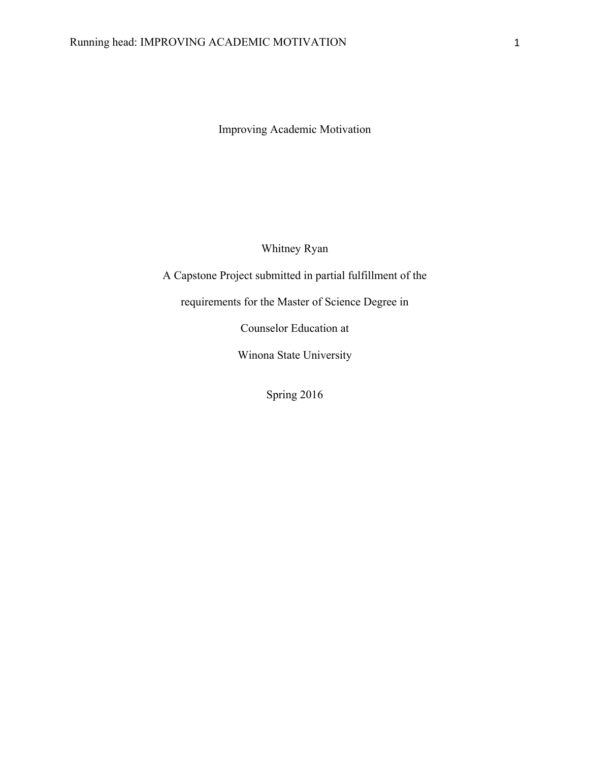Improving Academic Motivation

Whitney Ryan

A Capstone Project submitted in partial fulfillment of the

requirements for the Master of Science Degree in

Counselor Education at

Winona State University

Spring 2016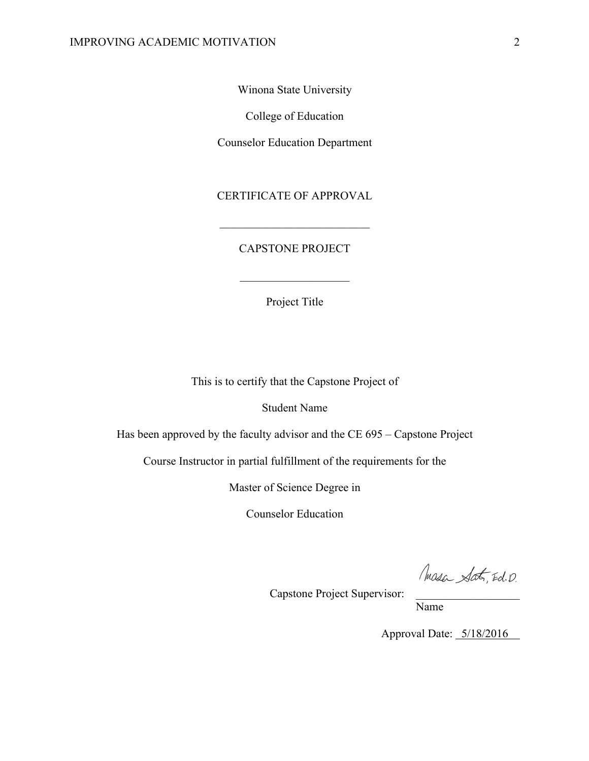Winona State University

College of Education

Counselor Education Department

CERTIFICATE OF APPROVAL

 $\mathcal{L}_\text{max}$ 

## CAPSTONE PROJECT

Project Title

 $\mathcal{L}_\text{max}$ 

This is to certify that the Capstone Project of

Student Name

Has been approved by the faculty advisor and the CE 695 – Capstone Project

Course Instructor in partial fulfillment of the requirements for the

Master of Science Degree in

Counselor Education

Masa Sat, Ed. D.

Capstone Project Supervisor:

Name

Approval Date:  $5/18/2016$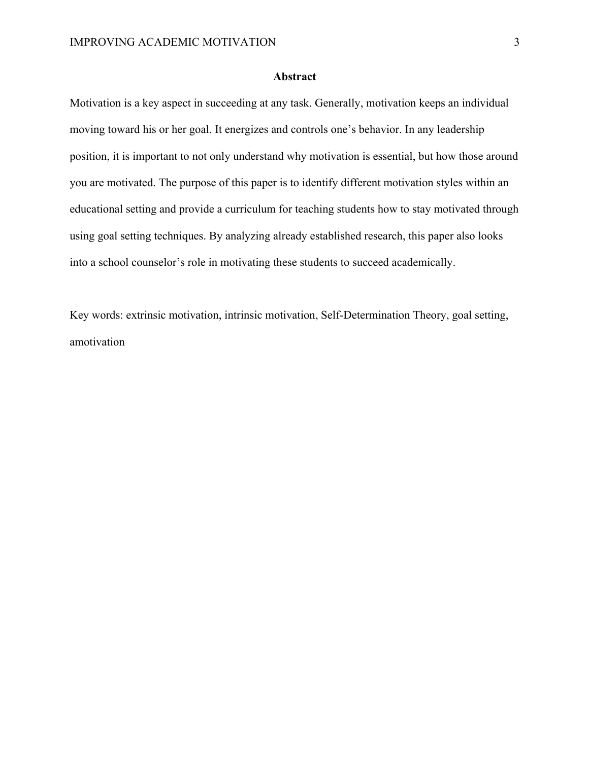## **Abstract**

Motivation is a key aspect in succeeding at any task. Generally, motivation keeps an individual moving toward his or her goal. It energizes and controls one's behavior. In any leadership position, it is important to not only understand why motivation is essential, but how those around you are motivated. The purpose of this paper is to identify different motivation styles within an educational setting and provide a curriculum for teaching students how to stay motivated through using goal setting techniques. By analyzing already established research, this paper also looks into a school counselor's role in motivating these students to succeed academically.

Key words: extrinsic motivation, intrinsic motivation, Self-Determination Theory, goal setting, amotivation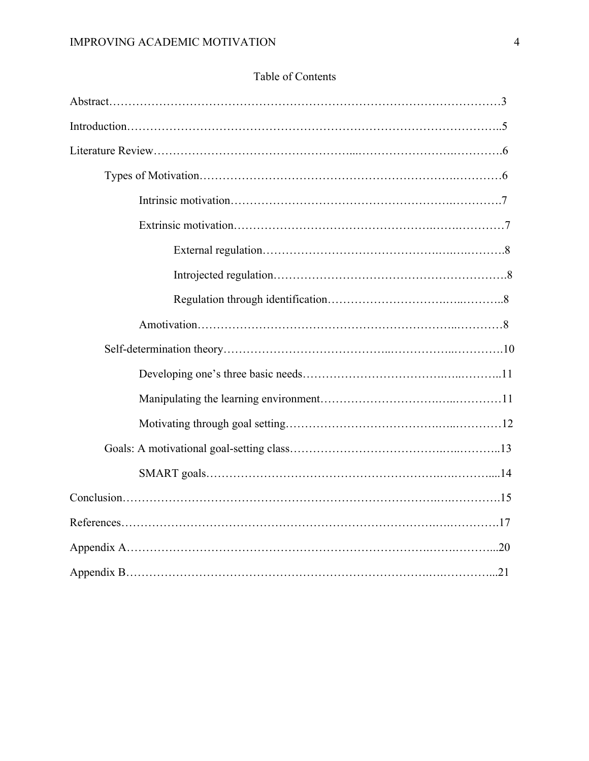# Table of Contents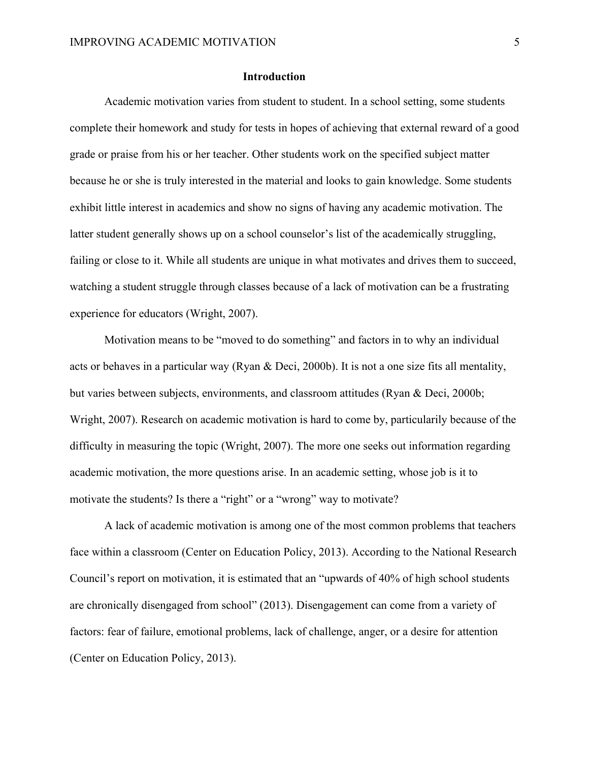## **Introduction**

Academic motivation varies from student to student. In a school setting, some students complete their homework and study for tests in hopes of achieving that external reward of a good grade or praise from his or her teacher. Other students work on the specified subject matter because he or she is truly interested in the material and looks to gain knowledge. Some students exhibit little interest in academics and show no signs of having any academic motivation. The latter student generally shows up on a school counselor's list of the academically struggling, failing or close to it. While all students are unique in what motivates and drives them to succeed, watching a student struggle through classes because of a lack of motivation can be a frustrating experience for educators (Wright, 2007).

Motivation means to be "moved to do something" and factors in to why an individual acts or behaves in a particular way (Ryan & Deci, 2000b). It is not a one size fits all mentality, but varies between subjects, environments, and classroom attitudes (Ryan & Deci, 2000b; Wright, 2007). Research on academic motivation is hard to come by, particularily because of the difficulty in measuring the topic (Wright, 2007). The more one seeks out information regarding academic motivation, the more questions arise. In an academic setting, whose job is it to motivate the students? Is there a "right" or a "wrong" way to motivate?

A lack of academic motivation is among one of the most common problems that teachers face within a classroom (Center on Education Policy, 2013). According to the National Research Council's report on motivation, it is estimated that an "upwards of 40% of high school students are chronically disengaged from school" (2013). Disengagement can come from a variety of factors: fear of failure, emotional problems, lack of challenge, anger, or a desire for attention (Center on Education Policy, 2013).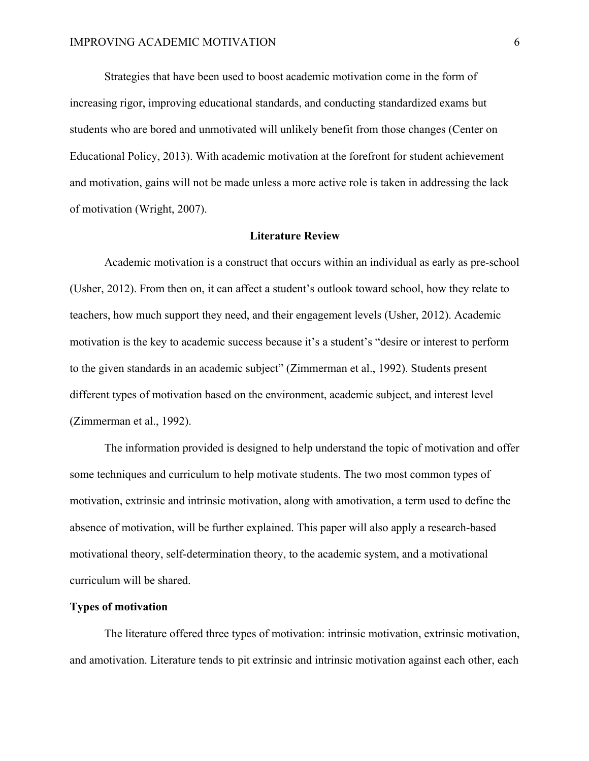Strategies that have been used to boost academic motivation come in the form of increasing rigor, improving educational standards, and conducting standardized exams but students who are bored and unmotivated will unlikely benefit from those changes (Center on Educational Policy, 2013). With academic motivation at the forefront for student achievement and motivation, gains will not be made unless a more active role is taken in addressing the lack of motivation (Wright, 2007).

#### **Literature Review**

Academic motivation is a construct that occurs within an individual as early as pre-school (Usher, 2012). From then on, it can affect a student's outlook toward school, how they relate to teachers, how much support they need, and their engagement levels (Usher, 2012). Academic motivation is the key to academic success because it's a student's "desire or interest to perform to the given standards in an academic subject" (Zimmerman et al., 1992). Students present different types of motivation based on the environment, academic subject, and interest level (Zimmerman et al., 1992).

The information provided is designed to help understand the topic of motivation and offer some techniques and curriculum to help motivate students. The two most common types of motivation, extrinsic and intrinsic motivation, along with amotivation, a term used to define the absence of motivation, will be further explained. This paper will also apply a research-based motivational theory, self-determination theory, to the academic system, and a motivational curriculum will be shared.

## **Types of motivation**

The literature offered three types of motivation: intrinsic motivation, extrinsic motivation, and amotivation. Literature tends to pit extrinsic and intrinsic motivation against each other, each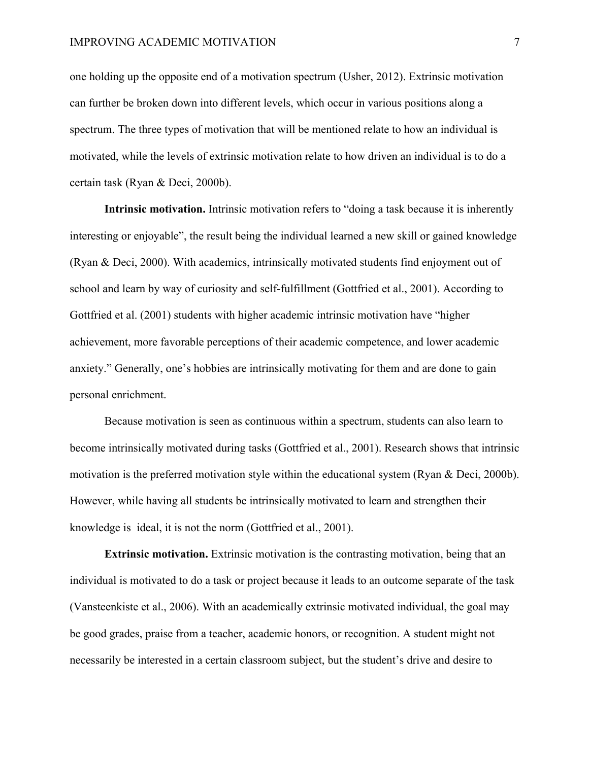one holding up the opposite end of a motivation spectrum (Usher, 2012). Extrinsic motivation can further be broken down into different levels, which occur in various positions along a spectrum. The three types of motivation that will be mentioned relate to how an individual is motivated, while the levels of extrinsic motivation relate to how driven an individual is to do a certain task (Ryan & Deci, 2000b).

**Intrinsic motivation.** Intrinsic motivation refers to "doing a task because it is inherently interesting or enjoyable", the result being the individual learned a new skill or gained knowledge (Ryan & Deci, 2000). With academics, intrinsically motivated students find enjoyment out of school and learn by way of curiosity and self-fulfillment (Gottfried et al., 2001). According to Gottfried et al. (2001) students with higher academic intrinsic motivation have "higher achievement, more favorable perceptions of their academic competence, and lower academic anxiety." Generally, one's hobbies are intrinsically motivating for them and are done to gain personal enrichment.

Because motivation is seen as continuous within a spectrum, students can also learn to become intrinsically motivated during tasks (Gottfried et al., 2001). Research shows that intrinsic motivation is the preferred motivation style within the educational system (Ryan & Deci, 2000b). However, while having all students be intrinsically motivated to learn and strengthen their knowledge is ideal, it is not the norm (Gottfried et al., 2001).

**Extrinsic motivation.** Extrinsic motivation is the contrasting motivation, being that an individual is motivated to do a task or project because it leads to an outcome separate of the task (Vansteenkiste et al., 2006). With an academically extrinsic motivated individual, the goal may be good grades, praise from a teacher, academic honors, or recognition. A student might not necessarily be interested in a certain classroom subject, but the student's drive and desire to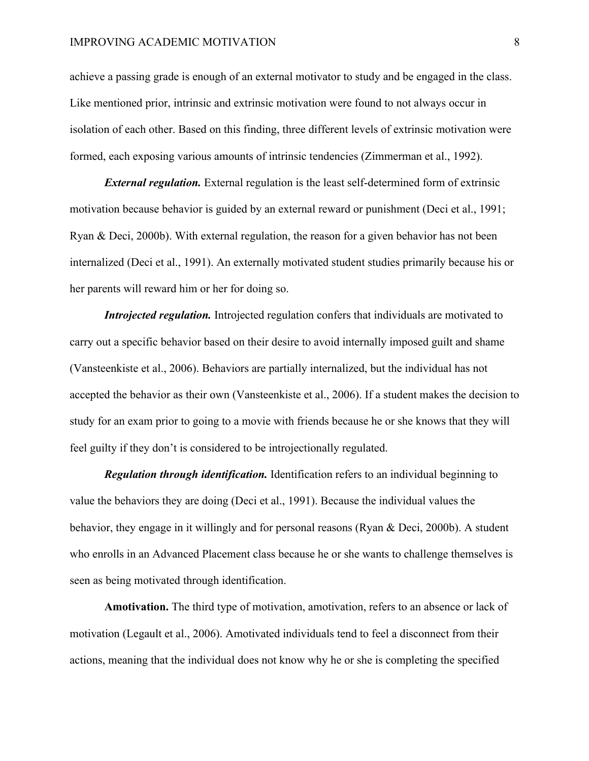## IMPROVING ACADEMIC MOTIVATION 8

achieve a passing grade is enough of an external motivator to study and be engaged in the class. Like mentioned prior, intrinsic and extrinsic motivation were found to not always occur in isolation of each other. Based on this finding, three different levels of extrinsic motivation were formed, each exposing various amounts of intrinsic tendencies (Zimmerman et al., 1992).

*External regulation.* External regulation is the least self-determined form of extrinsic motivation because behavior is guided by an external reward or punishment (Deci et al., 1991; Ryan & Deci, 2000b). With external regulation, the reason for a given behavior has not been internalized (Deci et al., 1991). An externally motivated student studies primarily because his or her parents will reward him or her for doing so.

*Introjected regulation.* Introjected regulation confers that individuals are motivated to carry out a specific behavior based on their desire to avoid internally imposed guilt and shame (Vansteenkiste et al., 2006). Behaviors are partially internalized, but the individual has not accepted the behavior as their own (Vansteenkiste et al., 2006). If a student makes the decision to study for an exam prior to going to a movie with friends because he or she knows that they will feel guilty if they don't is considered to be introjectionally regulated.

*Regulation through identification.* Identification refers to an individual beginning to value the behaviors they are doing (Deci et al., 1991). Because the individual values the behavior, they engage in it willingly and for personal reasons (Ryan  $\&$  Deci, 2000b). A student who enrolls in an Advanced Placement class because he or she wants to challenge themselves is seen as being motivated through identification.

**Amotivation.** The third type of motivation, amotivation, refers to an absence or lack of motivation (Legault et al., 2006). Amotivated individuals tend to feel a disconnect from their actions, meaning that the individual does not know why he or she is completing the specified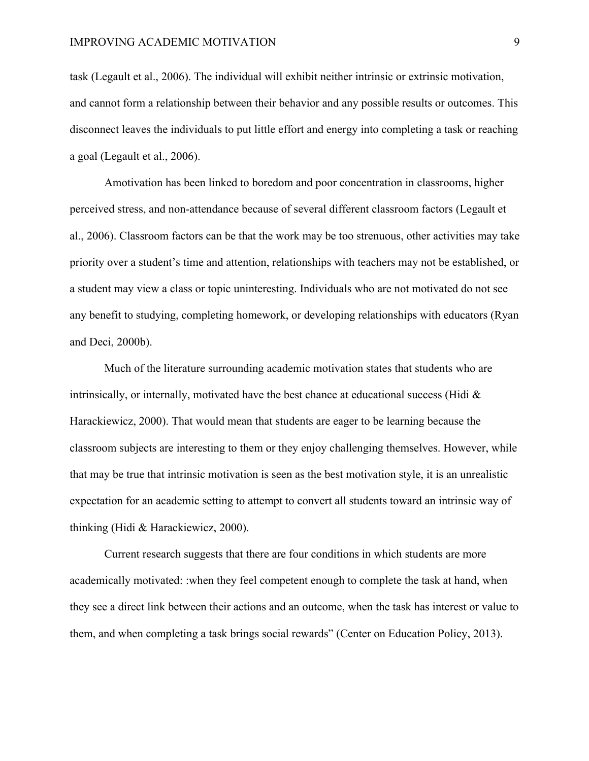task (Legault et al., 2006). The individual will exhibit neither intrinsic or extrinsic motivation, and cannot form a relationship between their behavior and any possible results or outcomes. This disconnect leaves the individuals to put little effort and energy into completing a task or reaching a goal (Legault et al., 2006).

Amotivation has been linked to boredom and poor concentration in classrooms, higher perceived stress, and non-attendance because of several different classroom factors (Legault et al., 2006). Classroom factors can be that the work may be too strenuous, other activities may take priority over a student's time and attention, relationships with teachers may not be established, or a student may view a class or topic uninteresting. Individuals who are not motivated do not see any benefit to studying, completing homework, or developing relationships with educators (Ryan and Deci, 2000b).

Much of the literature surrounding academic motivation states that students who are intrinsically, or internally, motivated have the best chance at educational success (Hidi  $\&$ Harackiewicz, 2000). That would mean that students are eager to be learning because the classroom subjects are interesting to them or they enjoy challenging themselves. However, while that may be true that intrinsic motivation is seen as the best motivation style, it is an unrealistic expectation for an academic setting to attempt to convert all students toward an intrinsic way of thinking (Hidi & Harackiewicz, 2000).

Current research suggests that there are four conditions in which students are more academically motivated: :when they feel competent enough to complete the task at hand, when they see a direct link between their actions and an outcome, when the task has interest or value to them, and when completing a task brings social rewards" (Center on Education Policy, 2013).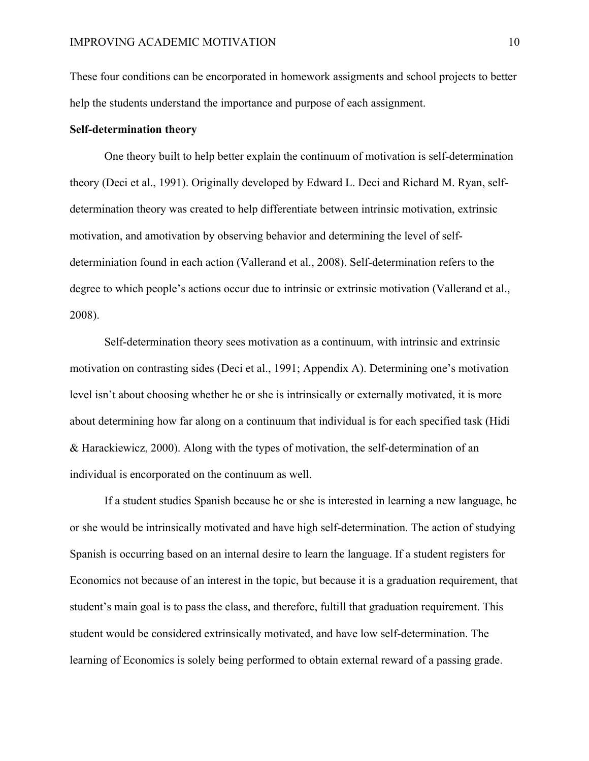These four conditions can be encorporated in homework assigments and school projects to better help the students understand the importance and purpose of each assignment.

#### **Self-determination theory**

One theory built to help better explain the continuum of motivation is self-determination theory (Deci et al., 1991). Originally developed by Edward L. Deci and Richard M. Ryan, selfdetermination theory was created to help differentiate between intrinsic motivation, extrinsic motivation, and amotivation by observing behavior and determining the level of selfdeterminiation found in each action (Vallerand et al., 2008). Self-determination refers to the degree to which people's actions occur due to intrinsic or extrinsic motivation (Vallerand et al., 2008).

Self-determination theory sees motivation as a continuum, with intrinsic and extrinsic motivation on contrasting sides (Deci et al., 1991; Appendix A). Determining one's motivation level isn't about choosing whether he or she is intrinsically or externally motivated, it is more about determining how far along on a continuum that individual is for each specified task (Hidi & Harackiewicz, 2000). Along with the types of motivation, the self-determination of an individual is encorporated on the continuum as well.

If a student studies Spanish because he or she is interested in learning a new language, he or she would be intrinsically motivated and have high self-determination. The action of studying Spanish is occurring based on an internal desire to learn the language. If a student registers for Economics not because of an interest in the topic, but because it is a graduation requirement, that student's main goal is to pass the class, and therefore, fultill that graduation requirement. This student would be considered extrinsically motivated, and have low self-determination. The learning of Economics is solely being performed to obtain external reward of a passing grade.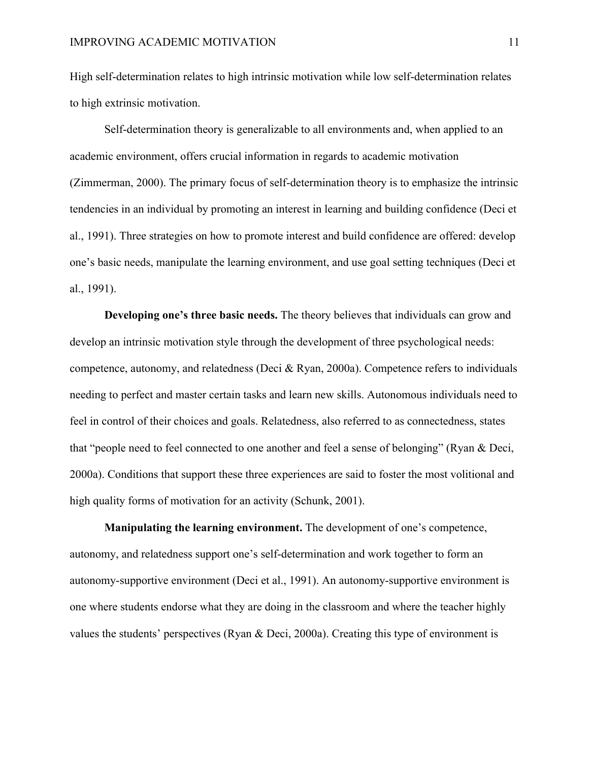High self-determination relates to high intrinsic motivation while low self-determination relates to high extrinsic motivation.

Self-determination theory is generalizable to all environments and, when applied to an academic environment, offers crucial information in regards to academic motivation (Zimmerman, 2000). The primary focus of self-determination theory is to emphasize the intrinsic tendencies in an individual by promoting an interest in learning and building confidence (Deci et al., 1991). Three strategies on how to promote interest and build confidence are offered: develop one's basic needs, manipulate the learning environment, and use goal setting techniques (Deci et al., 1991).

**Developing one's three basic needs.** The theory believes that individuals can grow and develop an intrinsic motivation style through the development of three psychological needs: competence, autonomy, and relatedness (Deci & Ryan, 2000a). Competence refers to individuals needing to perfect and master certain tasks and learn new skills. Autonomous individuals need to feel in control of their choices and goals. Relatedness, also referred to as connectedness, states that "people need to feel connected to one another and feel a sense of belonging" (Ryan & Deci, 2000a). Conditions that support these three experiences are said to foster the most volitional and high quality forms of motivation for an activity (Schunk, 2001).

**Manipulating the learning environment.** The development of one's competence, autonomy, and relatedness support one's self-determination and work together to form an autonomy-supportive environment (Deci et al., 1991). An autonomy-supportive environment is one where students endorse what they are doing in the classroom and where the teacher highly values the students' perspectives (Ryan & Deci, 2000a). Creating this type of environment is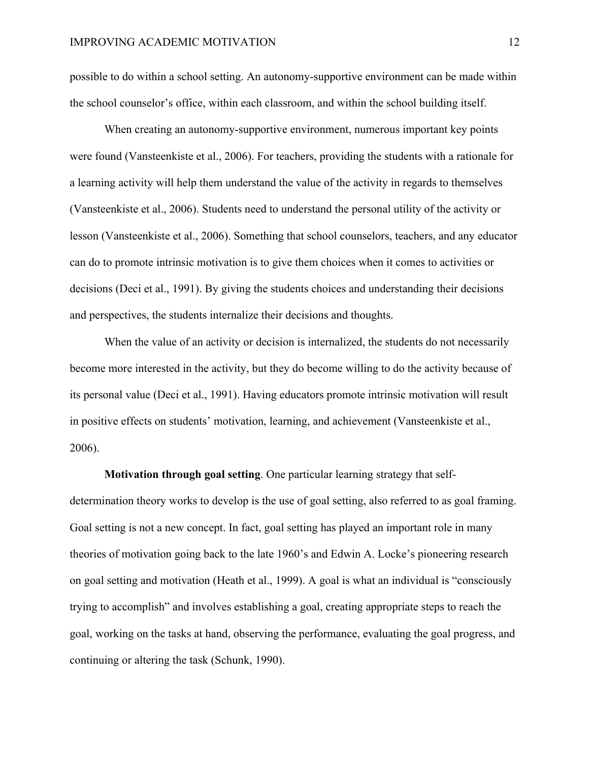possible to do within a school setting. An autonomy-supportive environment can be made within the school counselor's office, within each classroom, and within the school building itself.

When creating an autonomy-supportive environment, numerous important key points were found (Vansteenkiste et al., 2006). For teachers, providing the students with a rationale for a learning activity will help them understand the value of the activity in regards to themselves (Vansteenkiste et al., 2006). Students need to understand the personal utility of the activity or lesson (Vansteenkiste et al., 2006). Something that school counselors, teachers, and any educator can do to promote intrinsic motivation is to give them choices when it comes to activities or decisions (Deci et al., 1991). By giving the students choices and understanding their decisions and perspectives, the students internalize their decisions and thoughts.

When the value of an activity or decision is internalized, the students do not necessarily become more interested in the activity, but they do become willing to do the activity because of its personal value (Deci et al., 1991). Having educators promote intrinsic motivation will result in positive effects on students' motivation, learning, and achievement (Vansteenkiste et al., 2006).

**Motivation through goal setting**. One particular learning strategy that selfdetermination theory works to develop is the use of goal setting, also referred to as goal framing. Goal setting is not a new concept. In fact, goal setting has played an important role in many theories of motivation going back to the late 1960's and Edwin A. Locke's pioneering research on goal setting and motivation (Heath et al., 1999). A goal is what an individual is "consciously trying to accomplish" and involves establishing a goal, creating appropriate steps to reach the goal, working on the tasks at hand, observing the performance, evaluating the goal progress, and continuing or altering the task (Schunk, 1990).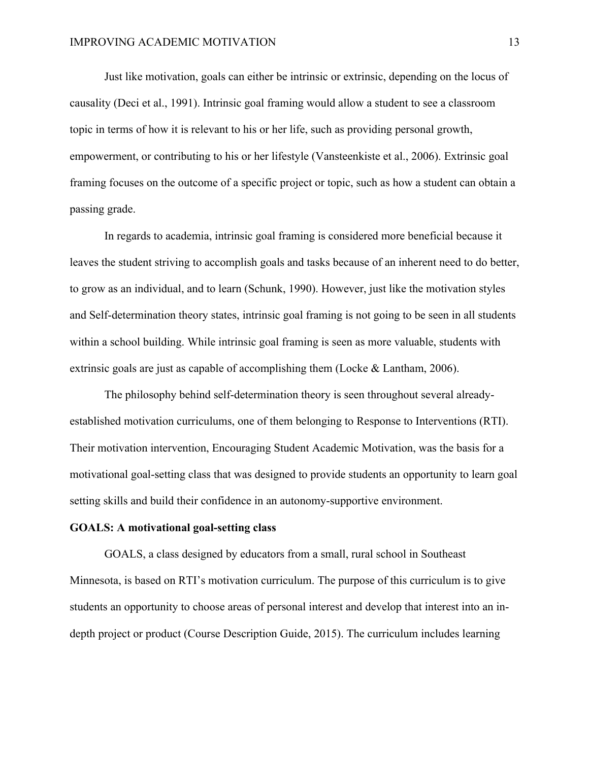Just like motivation, goals can either be intrinsic or extrinsic, depending on the locus of causality (Deci et al., 1991). Intrinsic goal framing would allow a student to see a classroom topic in terms of how it is relevant to his or her life, such as providing personal growth, empowerment, or contributing to his or her lifestyle (Vansteenkiste et al., 2006). Extrinsic goal framing focuses on the outcome of a specific project or topic, such as how a student can obtain a passing grade.

In regards to academia, intrinsic goal framing is considered more beneficial because it leaves the student striving to accomplish goals and tasks because of an inherent need to do better, to grow as an individual, and to learn (Schunk, 1990). However, just like the motivation styles and Self-determination theory states, intrinsic goal framing is not going to be seen in all students within a school building. While intrinsic goal framing is seen as more valuable, students with extrinsic goals are just as capable of accomplishing them (Locke & Lantham, 2006).

The philosophy behind self-determination theory is seen throughout several alreadyestablished motivation curriculums, one of them belonging to Response to Interventions (RTI). Their motivation intervention, Encouraging Student Academic Motivation, was the basis for a motivational goal-setting class that was designed to provide students an opportunity to learn goal setting skills and build their confidence in an autonomy-supportive environment.

#### **GOALS: A motivational goal-setting class**

GOALS, a class designed by educators from a small, rural school in Southeast Minnesota, is based on RTI's motivation curriculum. The purpose of this curriculum is to give students an opportunity to choose areas of personal interest and develop that interest into an indepth project or product (Course Description Guide, 2015). The curriculum includes learning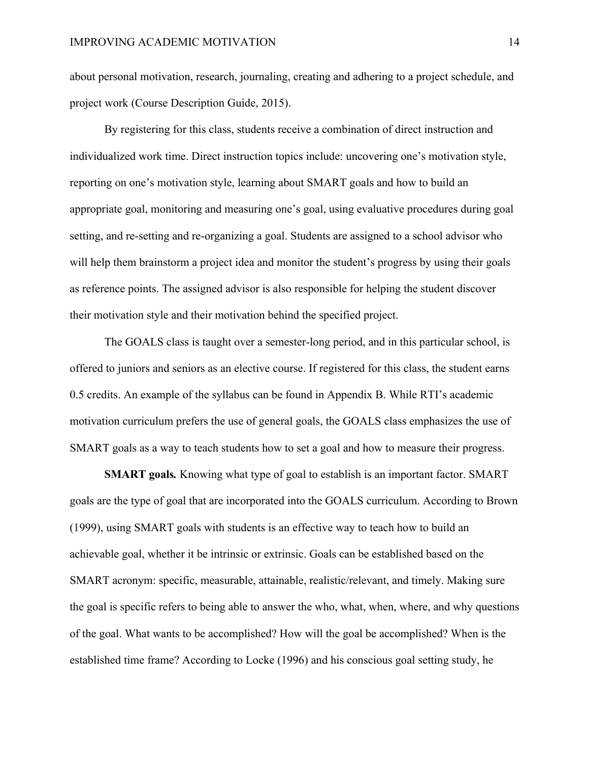about personal motivation, research, journaling, creating and adhering to a project schedule, and project work (Course Description Guide, 2015).

By registering for this class, students receive a combination of direct instruction and individualized work time. Direct instruction topics include: uncovering one's motivation style, reporting on one's motivation style, learning about SMART goals and how to build an appropriate goal, monitoring and measuring one's goal, using evaluative procedures during goal setting, and re-setting and re-organizing a goal. Students are assigned to a school advisor who will help them brainstorm a project idea and monitor the student's progress by using their goals as reference points. The assigned advisor is also responsible for helping the student discover their motivation style and their motivation behind the specified project.

The GOALS class is taught over a semester-long period, and in this particular school, is offered to juniors and seniors as an elective course. If registered for this class, the student earns 0.5 credits. An example of the syllabus can be found in Appendix B. While RTI's academic motivation curriculum prefers the use of general goals, the GOALS class emphasizes the use of SMART goals as a way to teach students how to set a goal and how to measure their progress.

**SMART goals***.* Knowing what type of goal to establish is an important factor. SMART goals are the type of goal that are incorporated into the GOALS curriculum. According to Brown (1999), using SMART goals with students is an effective way to teach how to build an achievable goal, whether it be intrinsic or extrinsic. Goals can be established based on the SMART acronym: specific, measurable, attainable, realistic/relevant, and timely. Making sure the goal is specific refers to being able to answer the who, what, when, where, and why questions of the goal. What wants to be accomplished? How will the goal be accomplished? When is the established time frame? According to Locke (1996) and his conscious goal setting study, he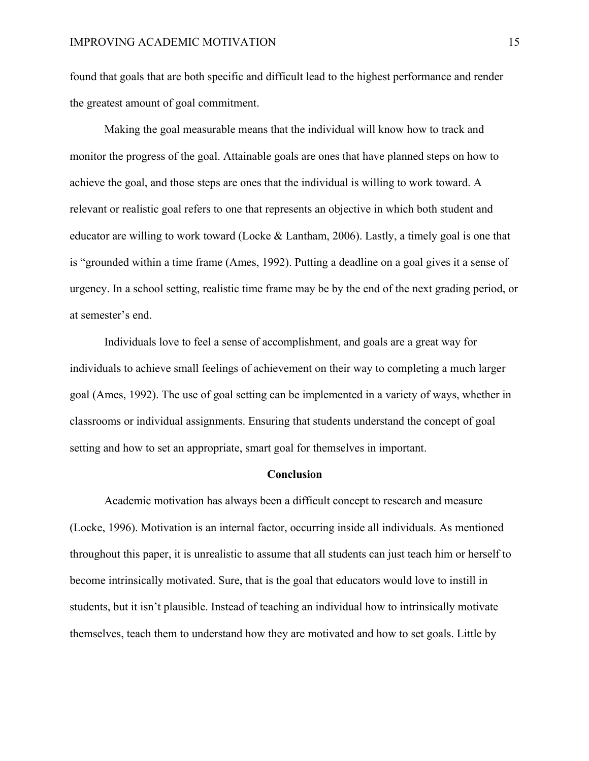found that goals that are both specific and difficult lead to the highest performance and render the greatest amount of goal commitment.

Making the goal measurable means that the individual will know how to track and monitor the progress of the goal. Attainable goals are ones that have planned steps on how to achieve the goal, and those steps are ones that the individual is willing to work toward. A relevant or realistic goal refers to one that represents an objective in which both student and educator are willing to work toward (Locke & Lantham, 2006). Lastly, a timely goal is one that is "grounded within a time frame (Ames, 1992). Putting a deadline on a goal gives it a sense of urgency. In a school setting, realistic time frame may be by the end of the next grading period, or at semester's end.

Individuals love to feel a sense of accomplishment, and goals are a great way for individuals to achieve small feelings of achievement on their way to completing a much larger goal (Ames, 1992). The use of goal setting can be implemented in a variety of ways, whether in classrooms or individual assignments. Ensuring that students understand the concept of goal setting and how to set an appropriate, smart goal for themselves in important.

#### **Conclusion**

Academic motivation has always been a difficult concept to research and measure (Locke, 1996). Motivation is an internal factor, occurring inside all individuals. As mentioned throughout this paper, it is unrealistic to assume that all students can just teach him or herself to become intrinsically motivated. Sure, that is the goal that educators would love to instill in students, but it isn't plausible. Instead of teaching an individual how to intrinsically motivate themselves, teach them to understand how they are motivated and how to set goals. Little by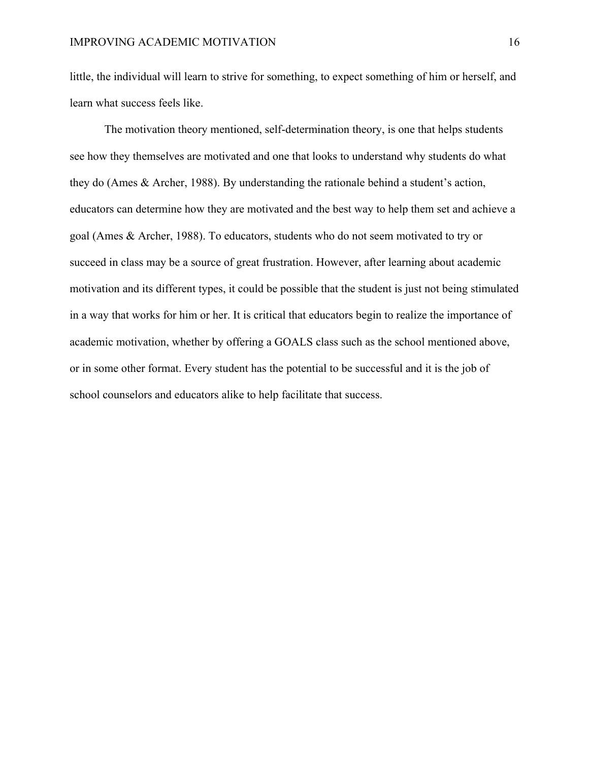little, the individual will learn to strive for something, to expect something of him or herself, and learn what success feels like.

The motivation theory mentioned, self-determination theory, is one that helps students see how they themselves are motivated and one that looks to understand why students do what they do (Ames & Archer, 1988). By understanding the rationale behind a student's action, educators can determine how they are motivated and the best way to help them set and achieve a goal (Ames & Archer, 1988). To educators, students who do not seem motivated to try or succeed in class may be a source of great frustration. However, after learning about academic motivation and its different types, it could be possible that the student is just not being stimulated in a way that works for him or her. It is critical that educators begin to realize the importance of academic motivation, whether by offering a GOALS class such as the school mentioned above, or in some other format. Every student has the potential to be successful and it is the job of school counselors and educators alike to help facilitate that success.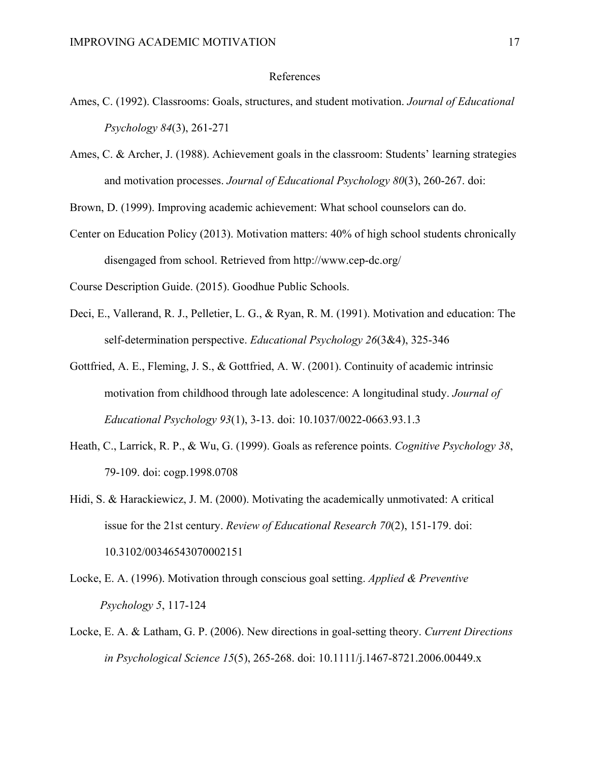#### References

- Ames, C. (1992). Classrooms: Goals, structures, and student motivation. *Journal of Educational Psychology 84*(3), 261-271
- Ames, C. & Archer, J. (1988). Achievement goals in the classroom: Students' learning strategies and motivation processes. *Journal of Educational Psychology 80*(3), 260-267. doi:

Brown, D. (1999). Improving academic achievement: What school counselors can do.

Center on Education Policy (2013). Motivation matters: 40% of high school students chronically disengaged from school. Retrieved from http://www.cep-dc.org/

Course Description Guide. (2015). Goodhue Public Schools.

- Deci, E., Vallerand, R. J., Pelletier, L. G., & Ryan, R. M. (1991). Motivation and education: The self-determination perspective. *Educational Psychology 26*(3&4), 325-346
- Gottfried, A. E., Fleming, J. S., & Gottfried, A. W. (2001). Continuity of academic intrinsic motivation from childhood through late adolescence: A longitudinal study. *Journal of Educational Psychology 93*(1), 3-13. doi: 10.1037/0022-0663.93.1.3
- Heath, C., Larrick, R. P., & Wu, G. (1999). Goals as reference points. *Cognitive Psychology 38*, 79-109. doi: cogp.1998.0708
- Hidi, S. & Harackiewicz, J. M. (2000). Motivating the academically unmotivated: A critical issue for the 21st century. *Review of Educational Research 70*(2), 151-179. doi: 10.3102/00346543070002151
- Locke, E. A. (1996). Motivation through conscious goal setting. *Applied & Preventive Psychology 5*, 117-124
- Locke, E. A. & Latham, G. P. (2006). New directions in goal-setting theory. *Current Directions in Psychological Science 15*(5), 265-268. doi: 10.1111/j.1467-8721.2006.00449.x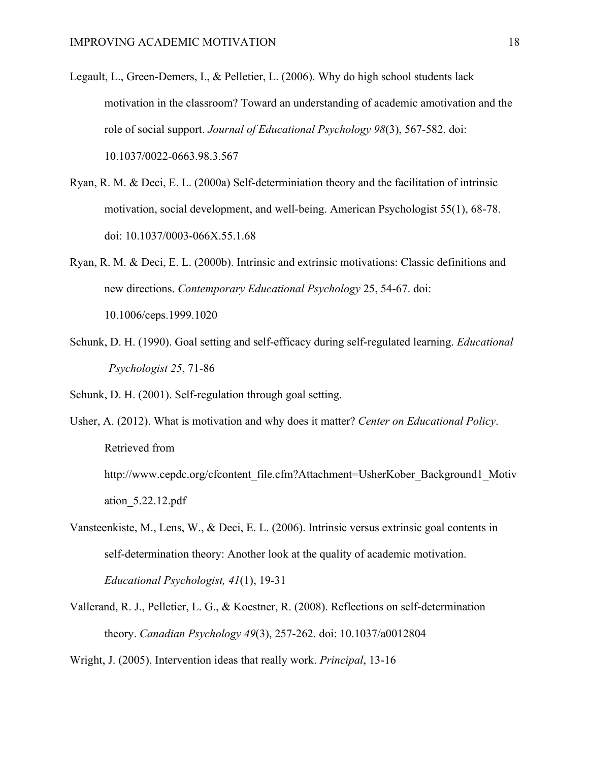- Legault, L., Green-Demers, I., & Pelletier, L. (2006). Why do high school students lack motivation in the classroom? Toward an understanding of academic amotivation and the role of social support. *Journal of Educational Psychology 98*(3), 567-582. doi: 10.1037/0022-0663.98.3.567
- Ryan, R. M. & Deci, E. L. (2000a) Self-determiniation theory and the facilitation of intrinsic motivation, social development, and well-being. American Psychologist 55(1), 68-78. doi: 10.1037/0003-066X.55.1.68
- Ryan, R. M. & Deci, E. L. (2000b). Intrinsic and extrinsic motivations: Classic definitions and new directions. *Contemporary Educational Psychology* 25, 54-67. doi: 10.1006/ceps.1999.1020
- Schunk, D. H. (1990). Goal setting and self-efficacy during self-regulated learning. *Educational Psychologist 25*, 71-86

Schunk, D. H. (2001). Self-regulation through goal setting.

Usher, A. (2012). What is motivation and why does it matter? *Center on Educational Policy*. Retrieved from http://www.cepdc.org/cfcontent\_file.cfm?Attachment=UsherKober\_Background1\_Motiv

ation\_5.22.12.pdf

- Vansteenkiste, M., Lens, W., & Deci, E. L. (2006). Intrinsic versus extrinsic goal contents in self-determination theory: Another look at the quality of academic motivation. *Educational Psychologist, 41*(1), 19-31
- Vallerand, R. J., Pelletier, L. G., & Koestner, R. (2008). Reflections on self-determination theory. *Canadian Psychology 49*(3), 257-262. doi: 10.1037/a0012804

Wright, J. (2005). Intervention ideas that really work. *Principal*, 13-16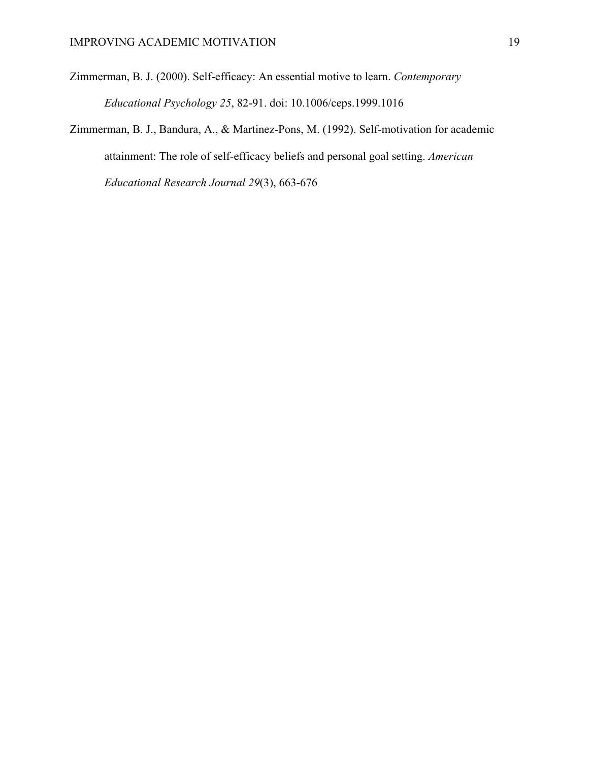Zimmerman, B. J. (2000). Self-efficacy: An essential motive to learn. *Contemporary Educational Psychology 25*, 82-91. doi: 10.1006/ceps.1999.1016

Zimmerman, B. J., Bandura, A., & Martinez-Pons, M. (1992). Self-motivation for academic attainment: The role of self-efficacy beliefs and personal goal setting. *American Educational Research Journal 29*(3), 663-676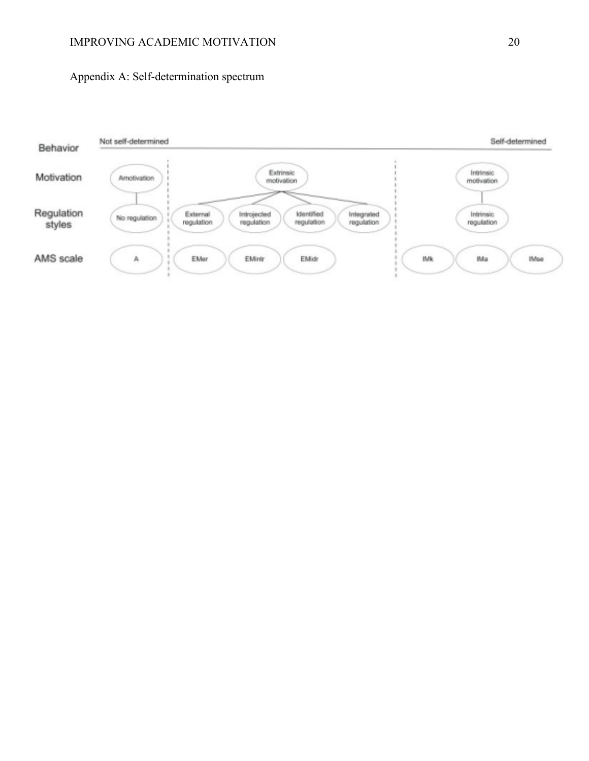## IMPROVING ACADEMIC MOTIVATION 20

# Appendix A: Self-determination spectrum

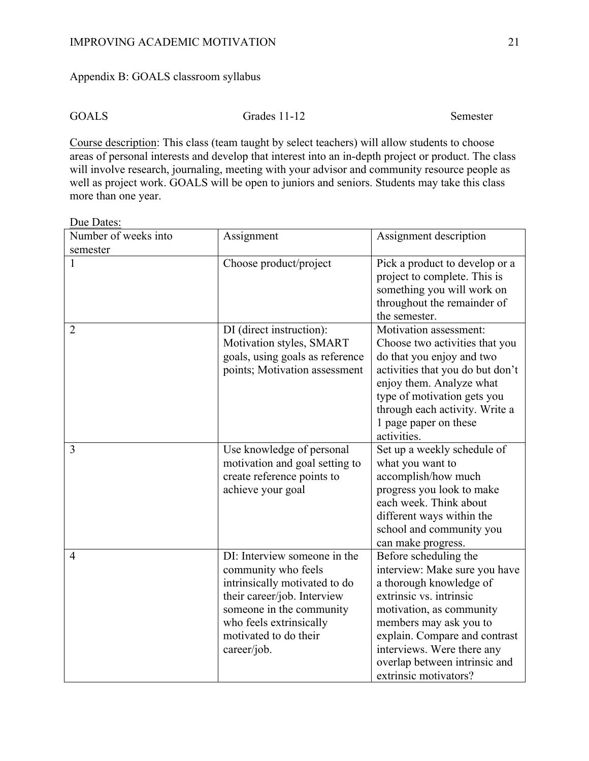# Appendix B: GOALS classroom syllabus

Due Dates:

GOALS Grades 11-12 Semester

Course description: This class (team taught by select teachers) will allow students to choose areas of personal interests and develop that interest into an in-depth project or product. The class will involve research, journaling, meeting with your advisor and community resource people as well as project work. GOALS will be open to juniors and seniors. Students may take this class more than one year.

| Number of weeks into | Assignment                                                                                                                                                                                                         | Assignment description                                                                                                                                                                                                                                                                      |
|----------------------|--------------------------------------------------------------------------------------------------------------------------------------------------------------------------------------------------------------------|---------------------------------------------------------------------------------------------------------------------------------------------------------------------------------------------------------------------------------------------------------------------------------------------|
| semester             |                                                                                                                                                                                                                    |                                                                                                                                                                                                                                                                                             |
| 1                    | Choose product/project                                                                                                                                                                                             | Pick a product to develop or a<br>project to complete. This is<br>something you will work on<br>throughout the remainder of<br>the semester.                                                                                                                                                |
| $\overline{2}$       | DI (direct instruction):<br>Motivation styles, SMART<br>goals, using goals as reference<br>points; Motivation assessment                                                                                           | Motivation assessment:<br>Choose two activities that you<br>do that you enjoy and two<br>activities that you do but don't<br>enjoy them. Analyze what<br>type of motivation gets you<br>through each activity. Write a<br>1 page paper on these<br>activities.                              |
| 3                    | Use knowledge of personal<br>motivation and goal setting to<br>create reference points to<br>achieve your goal                                                                                                     | Set up a weekly schedule of<br>what you want to<br>accomplish/how much<br>progress you look to make<br>each week. Think about<br>different ways within the<br>school and community you<br>can make progress.                                                                                |
| $\overline{4}$       | DI: Interview someone in the<br>community who feels<br>intrinsically motivated to do<br>their career/job. Interview<br>someone in the community<br>who feels extrinsically<br>motivated to do their<br>career/job. | Before scheduling the<br>interview: Make sure you have<br>a thorough knowledge of<br>extrinsic vs. intrinsic<br>motivation, as community<br>members may ask you to<br>explain. Compare and contrast<br>interviews. Were there any<br>overlap between intrinsic and<br>extrinsic motivators? |